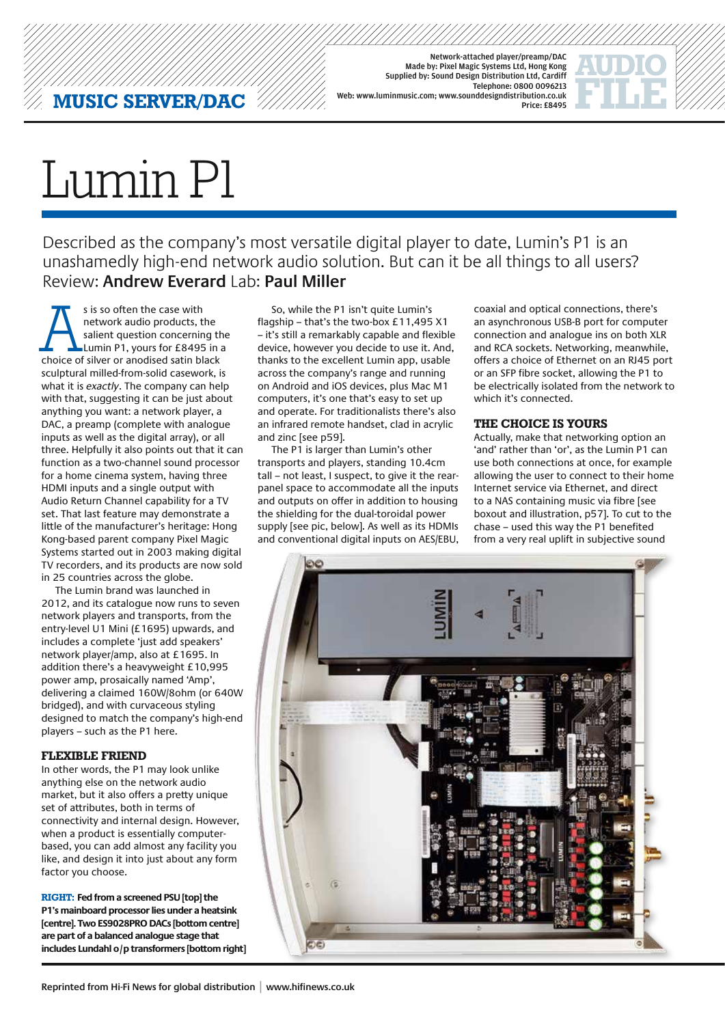Network-attached player/preamp/DAC Made by: Pixel Magic Systems Ltd, Hong Kong Supplied by: Sound Design Distribution Ltd, Cardiff Telephone: 0800 0096213 Web: www.luminmusic.com; www.sounddesigndistribution.co.uk Price: £8495

# Lumin P1

Described as the company's most versatile digital player to date, Lumin's P1 is an unashamedly high-end network audio solution. But can it be all things to all users? Review: **Andrew Everard** Lab: **Paul Miller**

s is so often the case with<br>
network audio products, the<br>
salient question concerning the<br>
Lumin P1, yours for £8495 in a<br>
choice of silver or anodised satin black network audio products, the salient question concerning the Lumin P1, yours for £8495 in a sculptural milled-from-solid casework, is what it is *exactly*. The company can help with that, suggesting it can be just about anything you want: a network player, a DAC, a preamp (complete with analogue inputs as well as the digital array), or all three. Helpfully it also points out that it can function as a two-channel sound processor for a home cinema system, having three HDMI inputs and a single output with Audio Return Channel capability for a TV set. That last feature may demonstrate a little of the manufacturer's heritage: Hong Kong-based parent company Pixel Magic Systems started out in 2003 making digital TV recorders, and its products are now sold in 25 countries across the globe.

The Lumin brand was launched in 2012, and its catalogue now runs to seven network players and transports, from the entry-level U1 Mini (£1695) upwards, and includes a complete 'just add speakers' network player/amp, also at £1695. In addition there's a heavyweight £10,995 power amp, prosaically named 'Amp', delivering a claimed 160W/8ohm (or 640W bridged), and with curvaceous styling designed to match the company's high-end players – such as the P1 here.

### **Flexible friend**

In other words, the P1 may look unlike anything else on the network audio market, but it also offers a pretty unique set of attributes, both in terms of connectivity and internal design. However, when a product is essentially computerbased, you can add almost any facility you like, and design it into just about any form factor you choose.

**RIGHT: Fed from a screened PSU [top] the P1's mainboard processor lies under a heatsink [centre]. Two ES9028PRO DACs [bottom centre] are part of a balanced analogue stage that includes Lundahl o/p transformers [bottom right]**

So, while the P1 isn't quite Lumin's flagship – that's the two-box £11,495 X1 – it's still a remarkably capable and flexible device, however you decide to use it. And, thanks to the excellent Lumin app, usable across the company's range and running on Android and iOS devices, plus Mac M1 computers, it's one that's easy to set up and operate. For traditionalists there's also an infrared remote handset, clad in acrylic and zinc [see p59].

The P1 is larger than Lumin's other transports and players, standing 10.4cm tall – not least, I suspect, to give it the rearpanel space to accommodate all the inputs and outputs on offer in addition to housing the shielding for the dual-toroidal power supply [see pic, below]. As well as its HDMIs and conventional digital inputs on AES/EBU,

coaxial and optical connections, there's an asynchronous USB-B port for computer connection and analogue ins on both XLR and RCA sockets. Networking, meanwhile, offers a choice of Ethernet on an RJ45 port or an SFP fibre socket, allowing the P1 to be electrically isolated from the network to which it's connected.

#### **The choice is yours**

Actually, make that networking option an 'and' rather than 'or', as the Lumin P1 can use both connections at once, for example allowing the user to connect to their home Internet service via Ethernet, and direct to a NAS containing music via fibre [see boxout and illustration, p57]. To cut to the chase – used this way the P1 benefited from a very real uplift in subjective sound

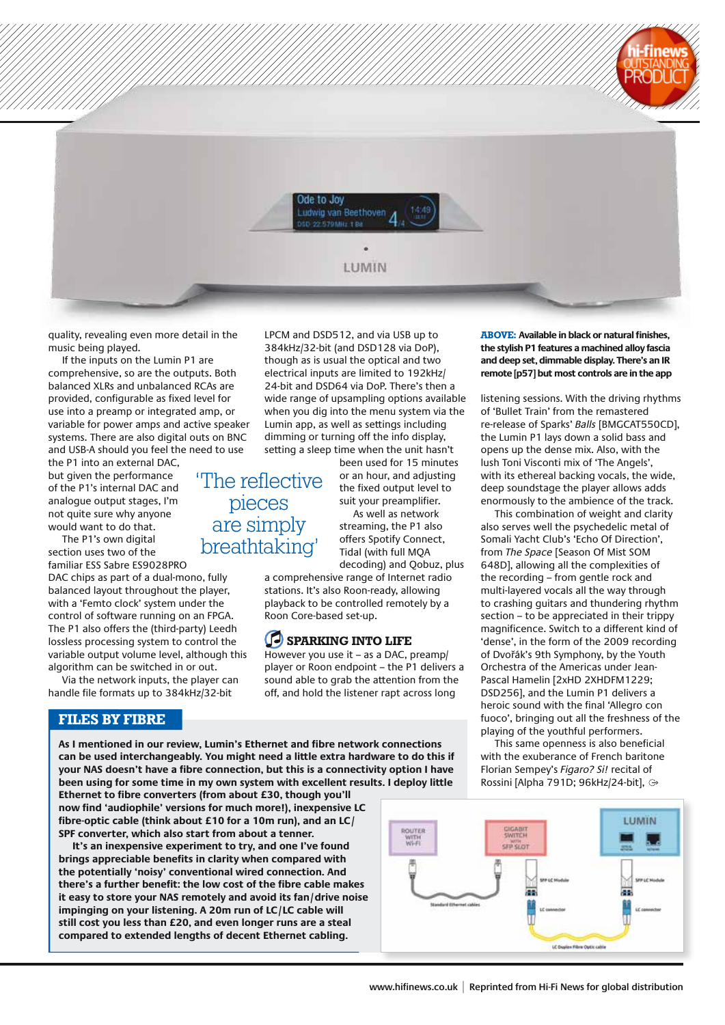

quality, revealing even more detail in the music being played.

If the inputs on the Lumin P1 are comprehensive, so are the outputs. Both balanced XLRs and unbalanced RCAs are provided, configurable as fixed level for use into a preamp or integrated amp, or variable for power amps and active speaker systems. There are also digital outs on BNC and USB-A should you feel the need to use

the P1 into an external DAC, but given the performance of the P1's internal DAC and analogue output stages, I'm not quite sure why anyone would want to do that.

The P1's own digital section uses two of the

familiar ESS Sabre ES9028PRO DAC chips as part of a dual-mono, fully balanced layout throughout the player, with a 'Femto clock' system under the control of software running on an FPGA. The P1 also offers the (third-party) Leedh lossless processing system to control the variable output volume level, although this algorithm can be switched in or out.

Via the network inputs, the player can handle file formats up to 384kHz/32-bit

#### **FILES BY FIBRE**

LPCM and DSD512, and via USB up to 384kHz/32-bit (and DSD128 via DoP), though as is usual the optical and two electrical inputs are limited to 192kHz/ 24-bit and DSD64 via DoP. There's then a wide range of upsampling options available when you dig into the menu system via the Lumin app, as well as settings including dimming or turning off the info display, setting a sleep time when the unit hasn't

'The reflective pieces are simply

been used for 15 minutes or an hour, and adjusting the fixed output level to suit your preamplifier.

As well as network streaming, the P1 also offers Spotify Connect, Tidal (with full MQA decoding) and Qobuz, plus

a comprehensive range of Internet radio stations. It's also Roon-ready, allowing playback to be controlled remotely by a Roon Core-based set-up.

## **Sparking into life**

However you use it – as a DAC, preamp/ player or Roon endpoint – the P1 delivers a sound able to grab the attention from the off, and hold the listener rapt across long

**As I mentioned in our review, Lumin's Ethernet and fibre network connections can be used interchangeably. You might need a little extra hardware to do this if your NAS doesn't have a fibre connection, but this is a connectivity option I have been using for some time in my own system with excellent results. I deploy little** 

**Ethernet to fibre converters (from about £30, though you'll now find 'audiophile' versions for much more!), inexpensive LC fibre-optic cable (think about £10 for a 10m run), and an LC/ SPF converter, which also start from about a tenner.** 

**It's an inexpensive experiment to try, and one I've found brings appreciable benefits in clarity when compared with the potentially 'noisy' conventional wired connection. And there's a further benefit: the low cost of the fibre cable makes it easy to store your NAS remotely and avoid its fan/drive noise impinging on your listening. A 20m run of LC/LC cable will still cost you less than £20, and even longer runs are a steal compared to extended lengths of decent Ethernet cabling.**

**ABOVE: Available in black or natural finishes, the stylish P1 features a machined alloy fascia and deep set, dimmable display. There's an IR remote [p57] but most controls are in the app**

listening sessions. With the driving rhythms of 'Bullet Train' from the remastered re-release of Sparks' *Balls* [BMGCAT550CD], the Lumin P1 lays down a solid bass and opens up the dense mix. Also, with the lush Toni Visconti mix of 'The Angels', with its ethereal backing vocals, the wide, deep soundstage the player allows adds enormously to the ambience of the track.

This combination of weight and clarity also serves well the psychedelic metal of Somali Yacht Club's 'Echo Of Direction', from *The Space* [Season Of Mist SOM 648D], allowing all the complexities of the recording – from gentle rock and multi-layered vocals all the way through to crashing guitars and thundering rhythm section – to be appreciated in their trippy magnificence. Switch to a different kind of 'dense', in the form of the 2009 recording of Dvořák's 9th Symphony, by the Youth Orchestra of the Americas under Jean-Pascal Hamelin [2xHD 2XHDFM1229; DSD256], and the Lumin P1 delivers a heroic sound with the final 'Allegro con fuoco', bringing out all the freshness of the playing of the youthful performers.

This same openness is also beneficial with the exuberance of French baritone Florian Sempey's *Figaro? Si!* recital of Rossini [Alpha 791D; 96kHz/24-bit],



breathtaking'